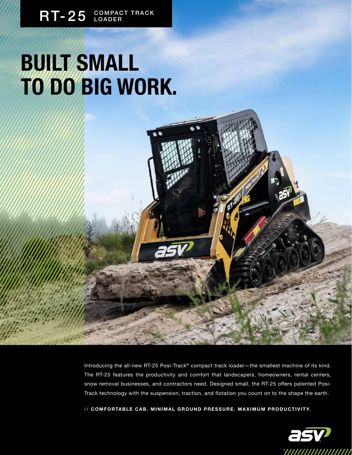## **BUILT SMALL TO DO BIG WORK.**

Introducing the all-new RT-25 Posi-Track® compact track loader-the smallest machine of its kind. The RT-25 features the productivity and comfort that landscapers, homeowners, rental centers, snow removal businesses, and contractors need. Designed small, the RT-25 offers patented Posi-Track technology with the suspension, traction, and flotation you count on to the shape the earth.

**/ / C O M F O RTA B L E C A B . M I N I M A L G R O U N D P R E S S U R E . M A X I M U M P R O D U C T I V I T Y.**